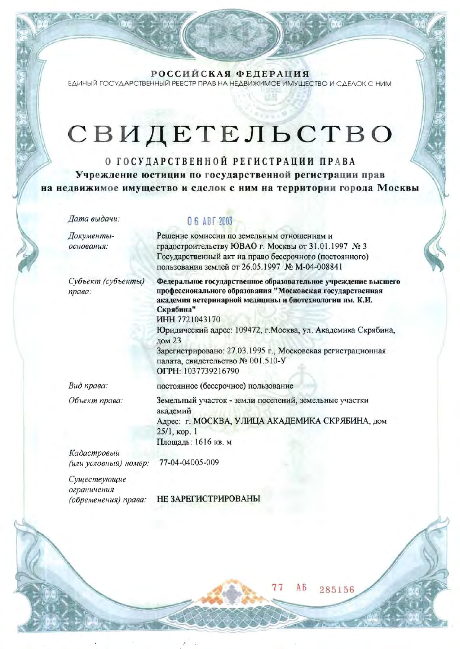РОССИЙСКАЯ ФЕДЕРАЦИЯ ЕДИНЫЙ ГОСУДАРСТВЕННЫЙ РЕЕСТР ПРАВ НА НЕДВИЖИМОЕ ИМУЩЕСТВО И СДЕЛОК С НИМ

## СВИДЕТЕЛЬСТВО

О ГОСУДАРСТВЕННОЙ РЕГИСТРАЦИИ ПРАВА Учреждение юстиции по государственной регистрации прав на недвижимое имущество и сделок с ним на территории города Москвы

Дата выдачи:

Документыоснования:

Субъект (субъекты) права:

O 6 ABT 2003

Решение комиссии по земельным отношениям и градостроительству ЮВАО г. Москвы от 31.01.1997 № 3 Государственный акт на право бессрочного (постоянного) пользования землей от 26.05.1997 № М-04-008841

Федеральное государственное образовательное учреждение высшего профессионального образования "Московская государственная академия ветеринарной медицины и биотехнологии им. К.И. Скрябина" ИНН 7721043170 Юридический адрес: 109472, г. Москва, ул. Академика Скрябина, дом 23

Зарегистрировано: 27.03.1995 г., Московская регистрационная палата, свидетельство № 001.510-У ОГРН: 1037739216790

Вид права:

постоянное (бессрочное) пользование

Объект права:

Земельный участок - земли поселений, земельные участки академий Адрес: г. МОСКВА, УЛИЦА АКАДЕМИКА СКРЯБИНА, дом  $25/1$ , кор. 1 Площадь: 1616 кв. м

AБ

285156

Кадастровый (или условный) номер:

77-04-04005-009

Существующие ограничения (обременения) права:

НЕ ЗАРЕГИСТРИРОВАНЫ